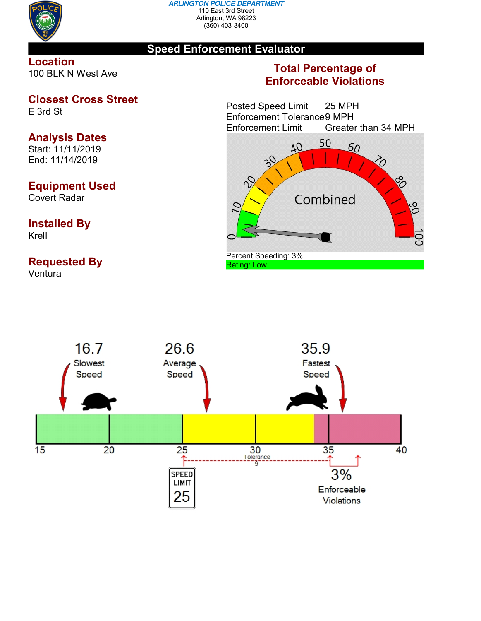

#### *ARLINGTON POLICE DEPARTMENT* 110 East 3rd Street Arlington, WA 98223 (360) 403-3400

### **Speed Enforcement Evaluator**

### **Location** 100 BLK N West Ave

# **Closest Cross Street**

E 3rd St

# **Analysis Dates**

Start: 11/11/2019 End: 11/14/2019

## **Equipment Used**

Covert Radar

### **Installed By** Krell

## **Requested By**

Ventura

## **Total Percentage of Enforceable Violations**

Posted Speed Limit 25 MPH Enforcement Tolerance 9 MPH<br>Enforcement Limit Greater Greater than 34 MPH